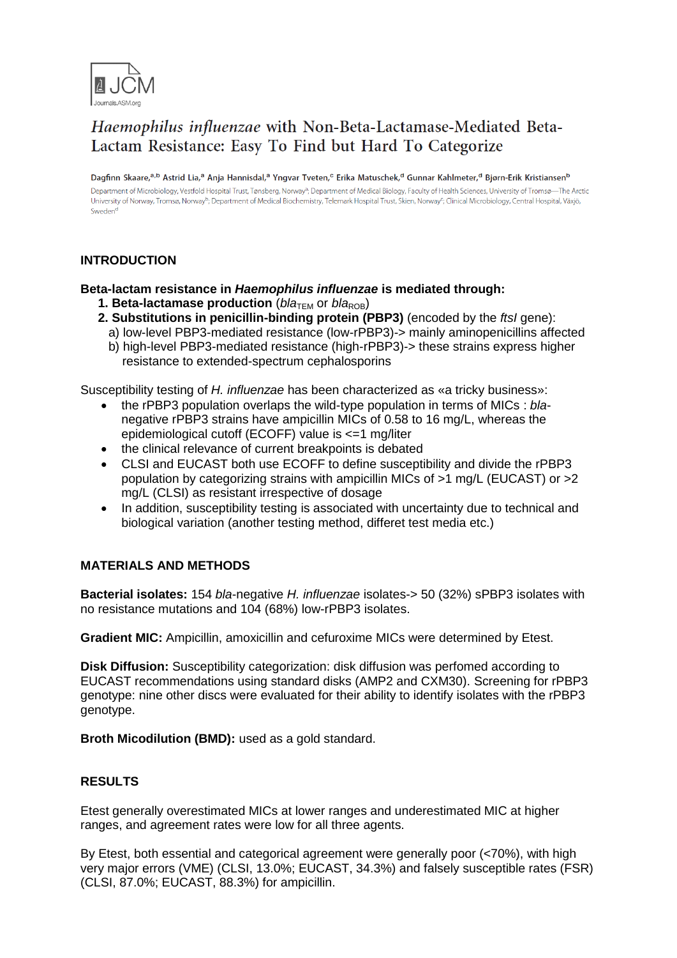

# Haemophilus influenzae with Non-Beta-Lactamase-Mediated Beta-Lactam Resistance: Easy To Find but Hard To Categorize

Dagfinn Skaare,<sup>a,b</sup> Astrid Lia,<sup>a</sup> Anja Hannisdal,<sup>a</sup> Yngvar Tveten,<sup>c</sup> Erika Matuschek,<sup>d</sup> Gunnar Kahlmeter,<sup>d</sup> Bjørn-Erik Kristiansen<sup>b</sup> Department of Microbiology, Vestfold Hospital Trust, Tønsberg, Norway<sup>a</sup>; Department of Medical Biology, Faculty of Health Sciences, University of Tromsø-The Arctic University of Norway, Tromsø, Norway<sup>b</sup>; Department of Medical Biochemistry, Telemark Hospital Trust, Skien, Norway<sup>c</sup>; Clinical Microbiology, Central Hospital, Växjö, Sweden<sup>d</sup>

## **INTRODUCTION**

**Beta-lactam resistance in** *Haemophilus influenzae* **is mediated through:**

- **1. Beta-lactamase production** ( $bla_{\text{TEM}}$  or  $bla_{\text{ROB}}$ )
- **2. Substitutions in penicillin-binding protein (PBP3)** (encoded by the *ftsI* gene): a) low-level PBP3-mediated resistance (low-rPBP3)-> mainly aminopenicillins affected
	- b) high-level PBP3-mediated resistance (high-rPBP3)-> these strains express higher resistance to extended-spectrum cephalosporins

Susceptibility testing of *H. influenzae* has been characterized as «a tricky business»:

- the rPBP3 population overlaps the wild-type population in terms of MICs : *bla*negative rPBP3 strains have ampicillin MICs of 0.58 to 16 mg/L, whereas the epidemiological cutoff (ECOFF) value is <=1 mg/liter
- the clinical relevance of current breakpoints is debated
- CLSI and EUCAST both use ECOFF to define susceptibility and divide the rPBP3 population by categorizing strains with ampicillin MICs of >1 mg/L (EUCAST) or >2 mg/L (CLSI) as resistant irrespective of dosage
- In addition, susceptibility testing is associated with uncertainty due to technical and biological variation (another testing method, differet test media etc.)

### **MATERIALS AND METHODS**

**Bacterial isolates:** 154 *bla*-negative *H. influenzae* isolates-> 50 (32%) sPBP3 isolates with no resistance mutations and 104 (68%) low-rPBP3 isolates.

**Gradient MIC:** Ampicillin, amoxicillin and cefuroxime MICs were determined by Etest.

**Disk Diffusion:** Susceptibility categorization: disk diffusion was perfomed according to EUCAST recommendations using standard disks (AMP2 and CXM30). Screening for rPBP3 genotype: nine other discs were evaluated for their ability to identify isolates with the rPBP3 genotype.

**Broth Micodilution (BMD):** used as a gold standard.

### **RESULTS**

Etest generally overestimated MICs at lower ranges and underestimated MIC at higher ranges, and agreement rates were low for all three agents.

By Etest, both essential and categorical agreement were generally poor (<70%), with high very major errors (VME) (CLSI, 13.0%; EUCAST, 34.3%) and falsely susceptible rates (FSR) (CLSI, 87.0%; EUCAST, 88.3%) for ampicillin.